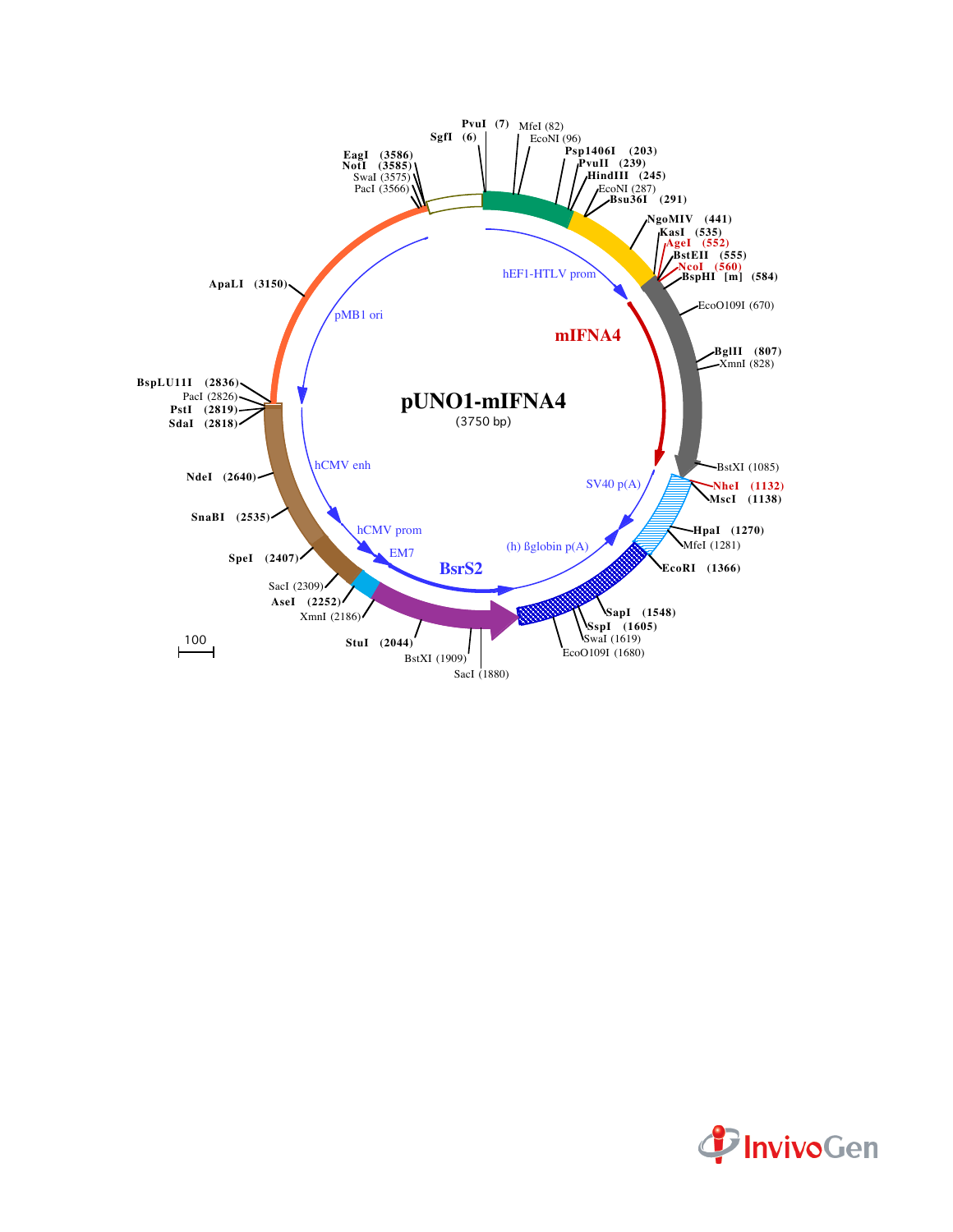

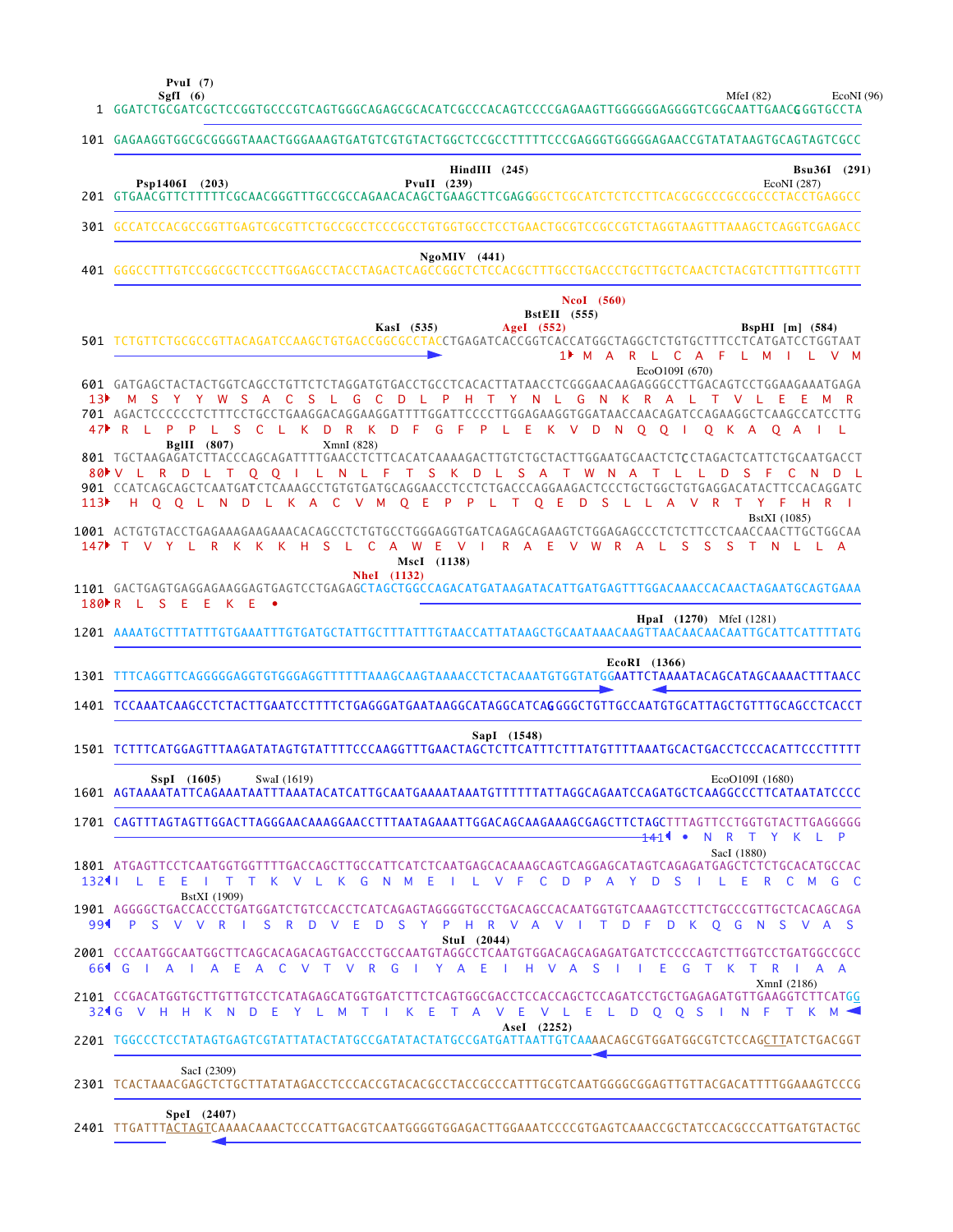**PvuI (7)**

MfeI (82)  $EcoNI(96)$ 

|     | SgfI $(6)$<br>MfeI $(82)$<br>EcoNI(<br>1 GGATCTGCGATCGCTCCGGTGCCCGTCAGTGGGCAGAGCGCACATCGCCCACAGTCCCCGAGAAGTTGGGGGGAGGGGTCGGCAATTGAACGGGTGCCTA                                                                                                                                                                                                                                                                 |
|-----|---------------------------------------------------------------------------------------------------------------------------------------------------------------------------------------------------------------------------------------------------------------------------------------------------------------------------------------------------------------------------------------------------------------|
|     | 101 GAGAAGGTGGCGCGGGGTAAACTGGGAAAGTGATGTCGTGTACTGGCTCCGCCTTTTTCCCGAGGGTGGGGGAACCGTATATAAGTGCAGTAGTCGCC                                                                                                                                                                                                                                                                                                        |
|     | $HindIII$ (245)<br>Bsu36I (291)<br>Psp1406I (203)<br>PvuII $(239)$<br>EcoNI (287)                                                                                                                                                                                                                                                                                                                             |
|     | 301 GCCATCCACGCCGGTTGAGTCGCGTTCTGCCGCCTCCCGCCTGTGGTGCCTCCTGAACTGCGTCCGCCGTCTAGGTAAGTTTAAAGCTCAGGTCGAGACC                                                                                                                                                                                                                                                                                                      |
|     | $NgoMIV$ (441)                                                                                                                                                                                                                                                                                                                                                                                                |
|     | NcoI (560)<br><b>BstEII</b> (555)<br>AgeI (552)<br>KasI (535)<br>BspHI $[m]$ (584)<br>501 TCTGTTCTGCGCCGTTACAGATCCAAGCTGTGACCGGCGCCTACCTGAGATCACCGGTCACCATGGCTAGGCTCTGTGCTTTCCTCATGATCCTGGTAAT<br>1 <sup>M</sup> A R L C A F L M I L<br>V M<br>EcoO109I (670)                                                                                                                                                 |
|     | 601 GATGAGCTACTACTGGTCAGCCTGTTCTCTAGGATGTGACCTGCCTCACACTTATAACCTCGGGAACAAGAGGGCCTTGACAGTCCTGGAAGAAATGAGA<br>13) M S Y Y W S A C S L G C D L P H T Y N L G N K R A L T V L E E<br>701 AGACTCCCCCCTCTTTCCTGCCTGAAGGACAGGAAGGATTTTGGATTCCCCTTGGAGAAGGTGGATAACCAACAGATCCAGAAGGCTCAAGCCATCCTTG<br>47▶ R L P P L S C<br>K D R K D F G F P L E K V D N O O I<br>- L.<br>O K A O A I L<br>BgIII $(807)$<br>XmnI (828) |
| 113 | 801 TGCTAAGAGATCTTACCCAGCAGATTTTGAACCTCTTCACATCAAAAGACTTGTCTGCTACTTGGAATGCAACTCTCCTAGACTCATTCTGCAATGACCT<br>80 V L R D L T O O I L N L F T S K D L S A T W N A T L L D S<br>- F -<br>C.<br>N.<br>- L<br>901 CCATCAGCAGCTCAATGATCTCAAAGCCTGTGTGATGCAGGAACCTCCTCTGACCCAGGAAGACTCCCTGCTGCTGTGAGGACATACTTCCACAGGATC<br>H O O L N D L K A C<br>V M O E P P L T O E D S L L A V R T Y F<br>HR I<br>BstXI (1085)     |
|     | 147 T V Y L R K K K H S L C A W E V I R A E<br>V W R A L<br>S S S T N L L A<br>MscI (1138)                                                                                                                                                                                                                                                                                                                    |
|     | <b>NheI</b> (1132)<br>1101 GACTGAGTGAGGAGAAGGAGTGAGTCCTGAGAGCTAGCTGGCCAGACATGATAAGATACATTGATGAGTTTGGACAAACCACAACTAGAATGCAGTGAAA<br>180 R L S E E K E<br>$\bullet$                                                                                                                                                                                                                                             |
|     |                                                                                                                                                                                                                                                                                                                                                                                                               |
|     | <b>HpaI</b> (1270) MfeI (1281)                                                                                                                                                                                                                                                                                                                                                                                |
|     | EcoRI (1366)<br>1301 TTTCAGGTTCAGGGGGAGGTGTGGGAGGTTTTTTAAAGCAAGTAAAACCTCTACAAATGTGGTATGGAATTCTAAAATACAGCATAGCAAAACTTTAACC                                                                                                                                                                                                                                                                                     |
|     | 1401 TCCAAATCAAGCCTCTACTTGAATCCTTTTCTGAGGGATGAATAAGGCATAGGCATCAGGGGCTGTTGCCAATGTGCATTAGCTGTTTGCAGCCTCACCT                                                                                                                                                                                                                                                                                                     |
|     | SapI (1548)<br>1501 TCTTTCATGGAGTTTAAGATATAGTGTATTTTCCCAAGGTTTGAACTAGCTCTTCATTTCTTTATGTTTTAAATGCACTGACCTCCCACATTCCCTTTTT                                                                                                                                                                                                                                                                                      |
|     | EcoO109I (1680)<br>SspI (1605)<br>SwaI (1619)                                                                                                                                                                                                                                                                                                                                                                 |
|     | 1701 CAGTTTAGTAGTTGGACTTAGGGAACAAAGGAACCTTTAATAGAAATTGGACAGCAAGAAAGCGAGCTTCTAGCTTTAGTTCCTGGTGTACTTGAGGGGG<br>R T Y K L P<br>$-141$<br>$\bullet$<br>N.                                                                                                                                                                                                                                                         |
|     | SacI (1880)<br>1801 ATGAGTTCCTCAATGGTGGTTTTGACCAGCTTGCCATTCATCTCAATGAGCACAAAGCAGTCAGGAGCATAGTCAGAGATGAGCTCTCTGCACATGCCAC<br>1324 I L E E I T T K V L K G N M E I L V F C D P A Y D S I L E R C M G C                                                                                                                                                                                                          |
|     | BstXI (1909)<br>1901 AGGGGCTGACCACCCTGATGGATCTGTCCACCTCATCAGAGTAGGGGTGCCTGACAGCCACAATGGTGTCAAAGTCCTTCTGCCCGTTGCTCACAGCAGA<br>99   PS V V R I S R D V E D S Y P H R V A V I T D F D K Q G N S V A S                                                                                                                                                                                                            |
|     | $StuI$ (2044)<br>2001 CCCAATGGCAATGGCTTCAGCACAGACAGTGACCCTGCCAATGTAGGCCTCAATGTGGACAGCAGAGATGATCTCCCCAGTCTTGGTCCTGATGGCCGCC<br>T V R G I Y A E I H V A S I I E<br>66 C J A J A E A C<br>$\vee$<br>G T K<br>T R<br>A<br>XmnI (2186)                                                                                                                                                                             |
|     | 2101 CCGACATGGTGCTTGTTGTCCTCATAGAGCATGGTGATCTTCTCAGTGGCGACCTCCACCAGCTCCAGATCCTGCTGAGAGATGTTGAAGGTCTTCATGG<br>32 G V H H K N D E Y L M T I K E<br>TAVEVLELDQQSINFTKM<<br>Asel (2252)                                                                                                                                                                                                                           |
|     | 2201 TGGCCCTCCTATAGTGAGTCGTATTATACTATGCCGATATACTATGCCGATGATTAATTGTCAAAACAGCGTGGATGGCGTCTCCAGCTTATCTGACGGT                                                                                                                                                                                                                                                                                                     |
|     | SacI (2309)<br>2301 TCACTAAACGAGCTCTGCTTATATAGACCTCCCACCGTACACGCCTACCGCCCATTTGCGTCAATGGGGCGGAGTTGTTACGACATTTTGGAAAGTCCCG                                                                                                                                                                                                                                                                                      |

TTGATTTACTAGTCAAAACAAACTCCCATTGACGTCAATGGGGTGGAGACTTGGAAATCCCCGTGAGTCAAACCGCTATCCACGCCCATTGATGTACTGC 2401